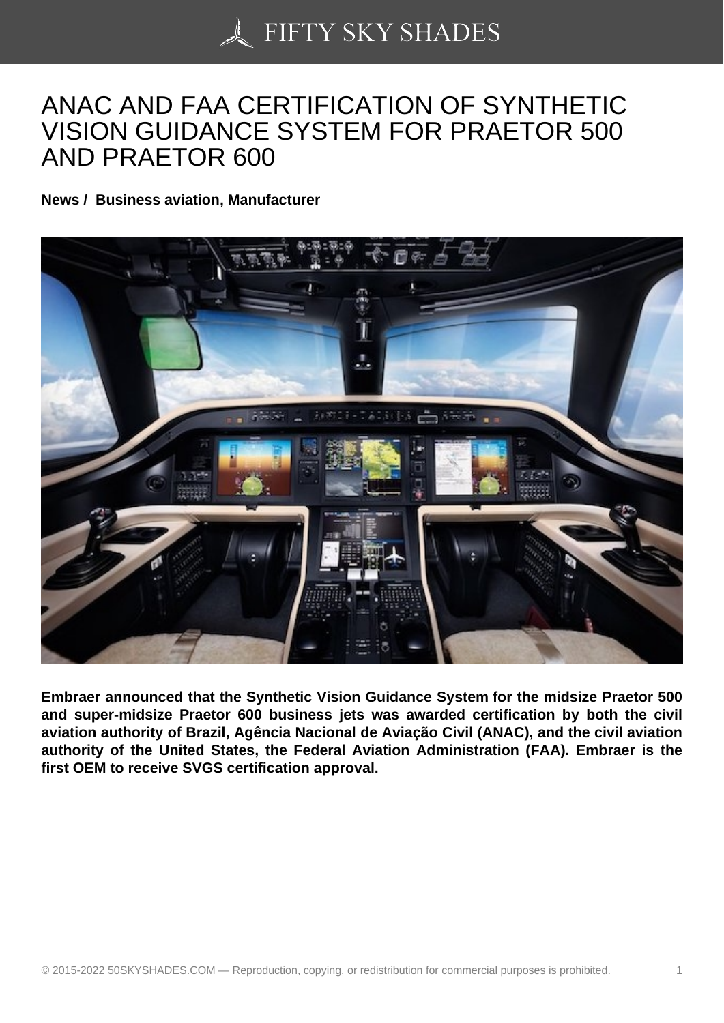## [ANAC AND FAA CERT](https://50skyshades.com)IFICATION OF SYNTHETIC VISION GUIDANCE SYSTEM FOR PRAETOR 500 AND PRAETOR 600

News / Business aviation, Manufacturer

Embraer announced that the Synthetic Vision Guidance System for the midsize Praetor 500 and super-midsize Praetor 600 business jets was awarded certification by both the civil aviation authority of Brazil, Agência Nacional de Aviação Civil (ANAC), and the civil aviation authority of the United States, the Federal Aviation Administration (FAA). Embraer is the first OEM to receive SVGS certification approval.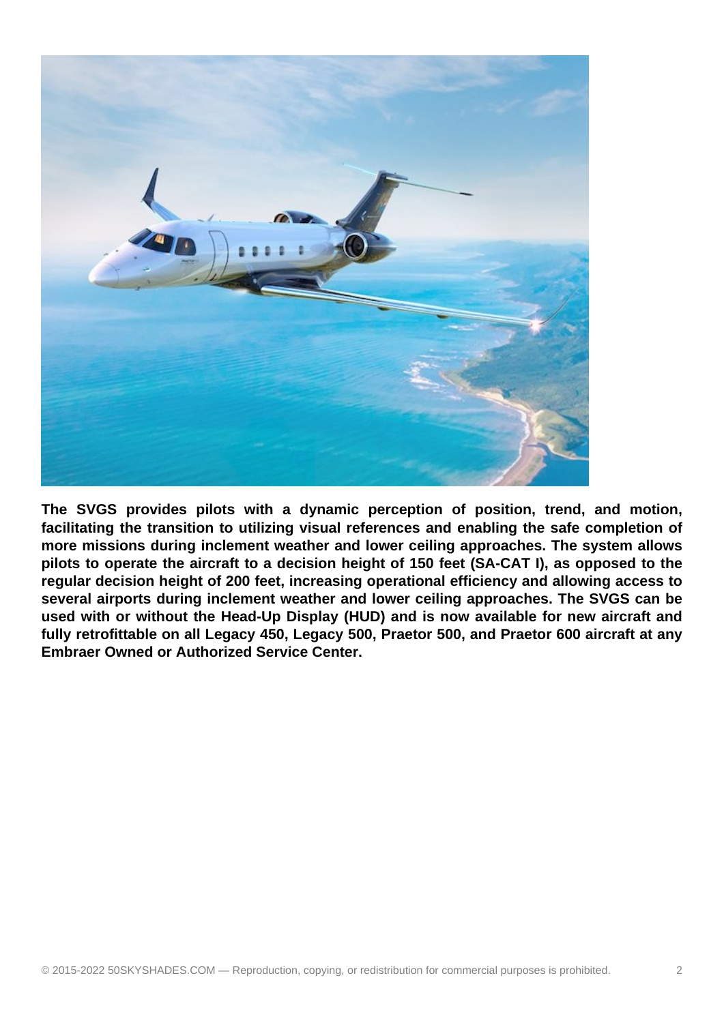

**The SVGS provides pilots with a dynamic perception of position, trend, and motion, facilitating the transition to utilizing visual references and enabling the safe completion of more missions during inclement weather and lower ceiling approaches. The system allows pilots to operate the aircraft to a decision height of 150 feet (SA-CAT I), as opposed to the regular decision height of 200 feet, increasing operational efficiency and allowing access to several airports during inclement weather and lower ceiling approaches. The SVGS can be used with or without the Head-Up Display (HUD) and is now available for new aircraft and fully retrofittable on all Legacy 450, Legacy 500, Praetor 500, and Praetor 600 aircraft at any Embraer Owned or Authorized Service Center.**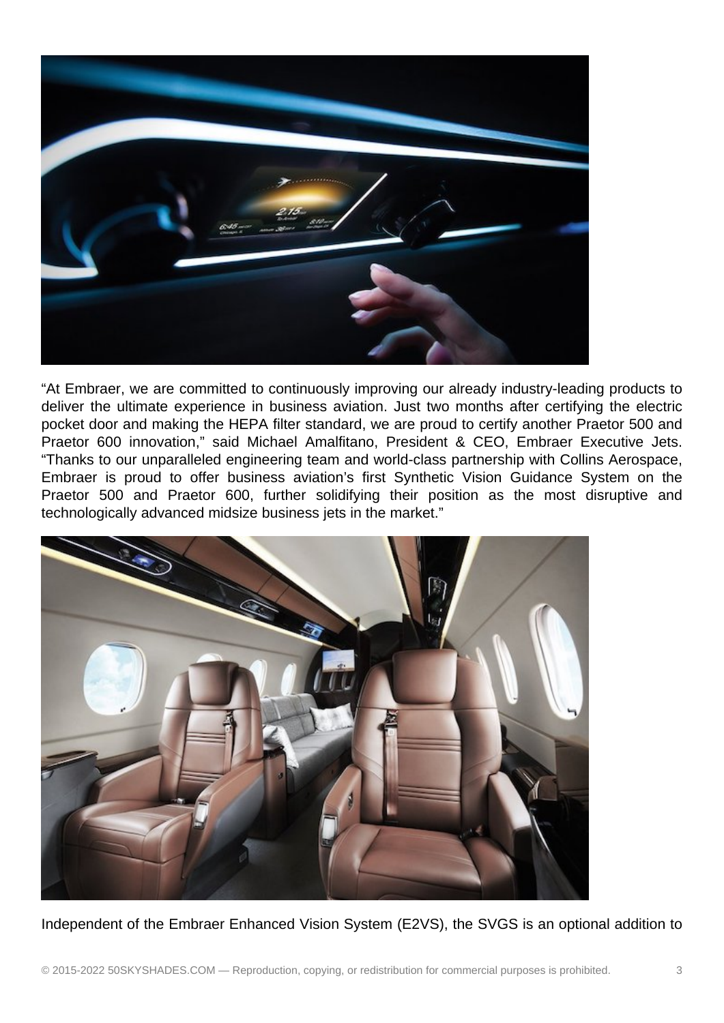

"At Embraer, we are committed to continuously improving our already industry-leading products to deliver the ultimate experience in business aviation. Just two months after certifying the electric pocket door and making the HEPA filter standard, we are proud to certify another Praetor 500 and Praetor 600 innovation," said Michael Amalfitano, President & CEO, Embraer Executive Jets. "Thanks to our unparalleled engineering team and world-class partnership with Collins Aerospace, Embraer is proud to offer business aviation's first Synthetic Vision Guidance System on the Praetor 500 and Praetor 600, further solidifying their position as the most disruptive and technologically advanced midsize business jets in the market."



Independent of the Embraer Enhanced Vision System (E2VS), the SVGS is an optional addition to